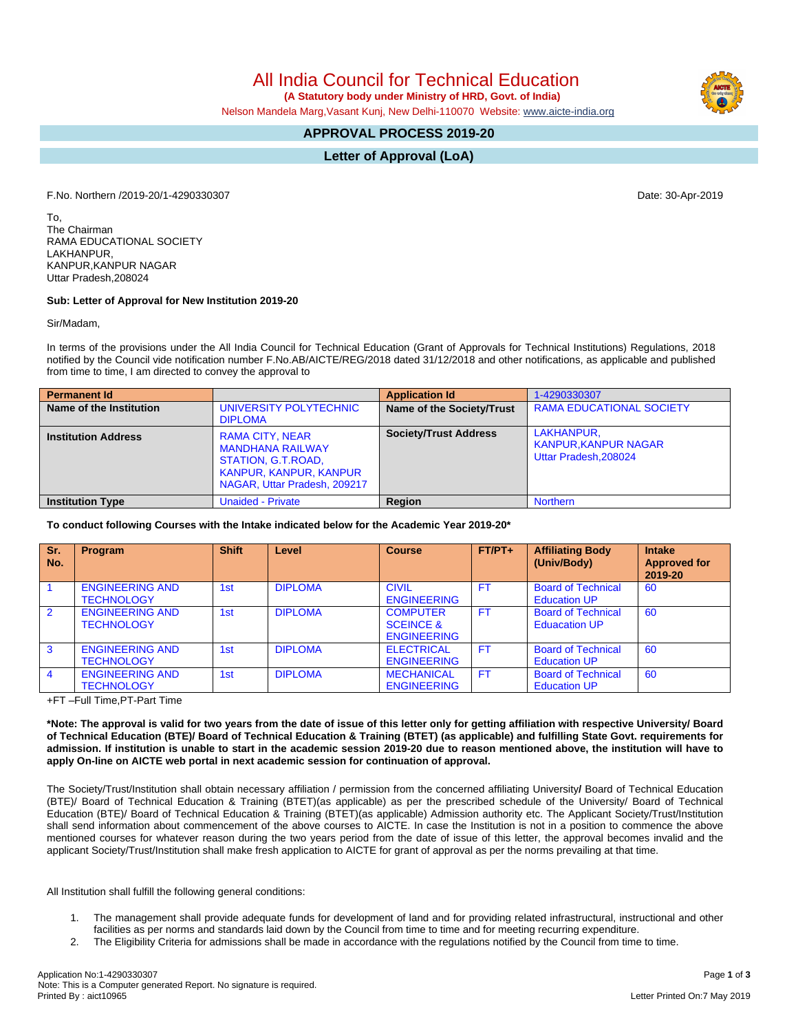All India Council for Technical Education

 **(A Statutory body under Ministry of HRD, Govt. of India)**

Nelson Mandela Marg,Vasant Kunj, New Delhi-110070 Website: [www.aicte-india.org](http://www.aicte-india.org)

## **APPROVAL PROCESS 2019-20**

**Letter of Approval (LoA)**

F.No. Northern /2019-20/1-4290330307 Date: 30-Apr-2019

To, The Chairman RAMA EDUCATIONAL SOCIETY LAKHANPUR, KANPUR,KANPUR NAGAR Uttar Pradesh,208024

## **Sub: Letter of Approval for New Institution 2019-20**

Sir/Madam,

In terms of the provisions under the All India Council for Technical Education (Grant of Approvals for Technical Institutions) Regulations, 2018 notified by the Council vide notification number F.No.AB/AICTE/REG/2018 dated 31/12/2018 and other notifications, as applicable and published from time to time, I am directed to convey the approval to

| <b>Permanent Id</b>        |                                                                                                                                          | <b>Application Id</b>        | 1-4290330307                                                      |
|----------------------------|------------------------------------------------------------------------------------------------------------------------------------------|------------------------------|-------------------------------------------------------------------|
| Name of the Institution    | UNIVERSITY POLYTECHNIC<br><b>DIPLOMA</b>                                                                                                 | Name of the Society/Trust    | <b>RAMA EDUCATIONAL SOCIETY</b>                                   |
| <b>Institution Address</b> | <b>RAMA CITY, NEAR</b><br><b>MANDHANA RAILWAY</b><br>STATION, G.T.ROAD,<br><b>KANPUR, KANPUR, KANPUR</b><br>NAGAR, Uttar Pradesh, 209217 | <b>Society/Trust Address</b> | LAKHANPUR.<br><b>KANPUR, KANPUR NAGAR</b><br>Uttar Pradesh.208024 |
| <b>Institution Type</b>    | <b>Unaided - Private</b>                                                                                                                 | Region                       | <b>Northern</b>                                                   |

**To conduct following Courses with the Intake indicated below for the Academic Year 2019-20\***

| Sr.<br>No.     | Program                                     | <b>Shift</b>    | Level          | <b>Course</b>                                                 | $FT/PT+$  | <b>Affiliating Body</b><br>(Univ/Body)            | <b>Intake</b><br><b>Approved for</b><br>2019-20 |
|----------------|---------------------------------------------|-----------------|----------------|---------------------------------------------------------------|-----------|---------------------------------------------------|-------------------------------------------------|
|                | <b>ENGINEERING AND</b><br><b>TECHNOLOGY</b> | 1st             | <b>DIPLOMA</b> | <b>CIVIL</b><br><b>ENGINEERING</b>                            | <b>FT</b> | <b>Board of Technical</b><br><b>Education UP</b>  | 60                                              |
| $\overline{2}$ | <b>ENGINEERING AND</b><br><b>TECHNOLOGY</b> | 1 <sub>st</sub> | <b>DIPLOMA</b> | <b>COMPUTER</b><br><b>SCEINCE &amp;</b><br><b>ENGINEERING</b> | <b>FT</b> | <b>Board of Technical</b><br><b>Eduacation UP</b> | 60                                              |
| 3              | <b>ENGINEERING AND</b><br><b>TECHNOLOGY</b> | 1 <sub>st</sub> | <b>DIPLOMA</b> | <b>ELECTRICAL</b><br><b>ENGINEERING</b>                       | <b>FT</b> | <b>Board of Technical</b><br><b>Education UP</b>  | 60                                              |
| $\overline{4}$ | <b>ENGINEERING AND</b><br><b>TECHNOLOGY</b> | 1st             | <b>DIPLOMA</b> | <b>MECHANICAL</b><br><b>ENGINEERING</b>                       | <b>FT</b> | <b>Board of Technical</b><br><b>Education UP</b>  | 60                                              |

+FT –Full Time,PT-Part Time

\*Note: The approval is valid for two years from the date of issue of this letter only for getting affiliation with respective University/ Board of Technical Education (BTE)/ Board of Technical Education & Training (BTET) (as applicable) and fulfilling State Govt. requirements for admission. If institution is unable to start in the academic session 2019-20 due to reason mentioned above, the institution will have to **apply On-line on AICTE web portal in next academic session for continuation of approval.**

The Society/Trust/Institution shall obtain necessary affiliation / permission from the concerned affiliating University**/** Board of Technical Education (BTE)/ Board of Technical Education & Training (BTET)(as applicable) as per the prescribed schedule of the University/ Board of Technical Education (BTE)/ Board of Technical Education & Training (BTET)(as applicable) Admission authority etc. The Applicant Society/Trust/Institution shall send information about commencement of the above courses to AICTE. In case the Institution is not in a position to commence the above mentioned courses for whatever reason during the two years period from the date of issue of this letter, the approval becomes invalid and the applicant Society/Trust/Institution shall make fresh application to AICTE for grant of approval as per the norms prevailing at that time.

All Institution shall fulfill the following general conditions:

- 1. The management shall provide adequate funds for development of land and for providing related infrastructural, instructional and other facilities as per norms and standards laid down by the Council from time to time and for meeting recurring expenditure.
- 2. The Eligibility Criteria for admissions shall be made in accordance with the regulations notified by the Council from time to time.



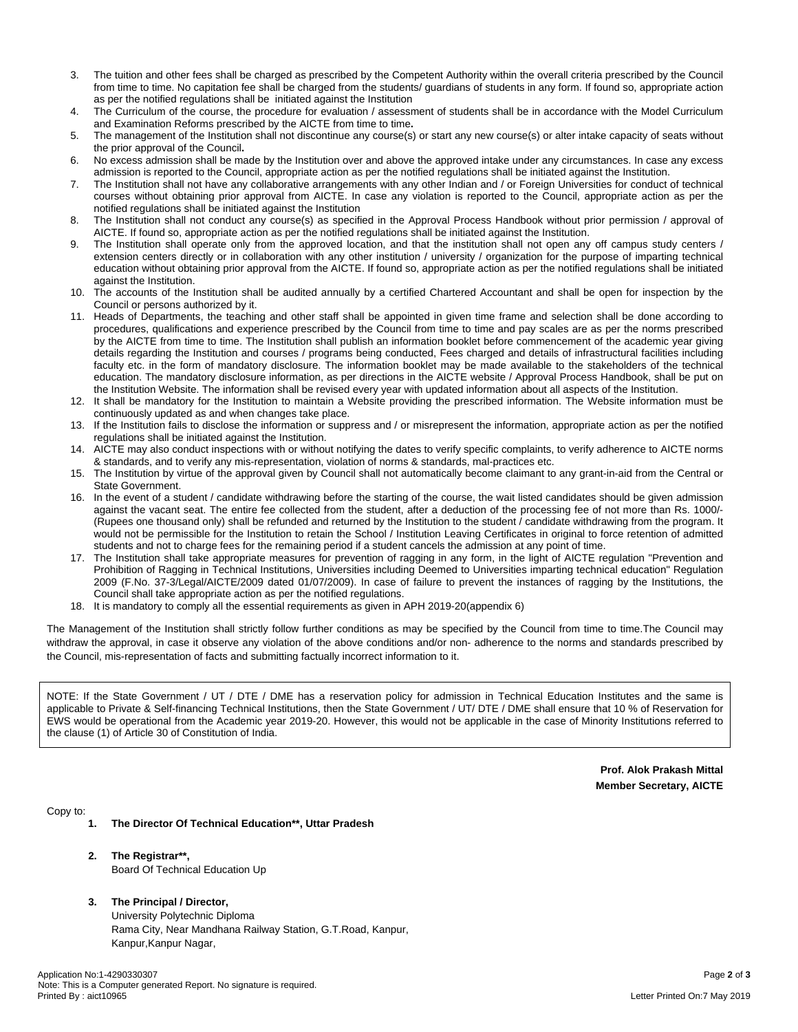- 3. The tuition and other fees shall be charged as prescribed by the Competent Authority within the overall criteria prescribed by the Council from time to time. No capitation fee shall be charged from the students/ guardians of students in any form. If found so, appropriate action as per the notified regulations shall be initiated against the Institution
- 4. The Curriculum of the course, the procedure for evaluation / assessment of students shall be in accordance with the Model Curriculum and Examination Reforms prescribed by the AICTE from time to time**.**
- 5. The management of the Institution shall not discontinue any course(s) or start any new course(s) or alter intake capacity of seats without the prior approval of the Council**.**
- 6. No excess admission shall be made by the Institution over and above the approved intake under any circumstances. In case any excess admission is reported to the Council, appropriate action as per the notified regulations shall be initiated against the Institution.
- 7. The Institution shall not have any collaborative arrangements with any other Indian and / or Foreign Universities for conduct of technical courses without obtaining prior approval from AICTE. In case any violation is reported to the Council, appropriate action as per the notified regulations shall be initiated against the Institution
- 8. The Institution shall not conduct any course(s) as specified in the Approval Process Handbook without prior permission / approval of AICTE. If found so, appropriate action as per the notified regulations shall be initiated against the Institution.
- 9. The Institution shall operate only from the approved location, and that the institution shall not open any off campus study centers / extension centers directly or in collaboration with any other institution / university / organization for the purpose of imparting technical education without obtaining prior approval from the AICTE. If found so, appropriate action as per the notified regulations shall be initiated against the Institution.
- 10. The accounts of the Institution shall be audited annually by a certified Chartered Accountant and shall be open for inspection by the Council or persons authorized by it.
- 11. Heads of Departments, the teaching and other staff shall be appointed in given time frame and selection shall be done according to procedures, qualifications and experience prescribed by the Council from time to time and pay scales are as per the norms prescribed by the AICTE from time to time. The Institution shall publish an information booklet before commencement of the academic year giving details regarding the Institution and courses / programs being conducted, Fees charged and details of infrastructural facilities including faculty etc. in the form of mandatory disclosure. The information booklet may be made available to the stakeholders of the technical education. The mandatory disclosure information, as per directions in the AICTE website / Approval Process Handbook, shall be put on the Institution Website. The information shall be revised every year with updated information about all aspects of the Institution.
- 12. It shall be mandatory for the Institution to maintain a Website providing the prescribed information. The Website information must be continuously updated as and when changes take place.
- 13. If the Institution fails to disclose the information or suppress and / or misrepresent the information, appropriate action as per the notified regulations shall be initiated against the Institution.
- 14. AICTE may also conduct inspections with or without notifying the dates to verify specific complaints, to verify adherence to AICTE norms & standards, and to verify any mis-representation, violation of norms & standards, mal-practices etc.
- 15. The Institution by virtue of the approval given by Council shall not automatically become claimant to any grant-in-aid from the Central or State Government.
- 16. In the event of a student / candidate withdrawing before the starting of the course, the wait listed candidates should be given admission against the vacant seat. The entire fee collected from the student, after a deduction of the processing fee of not more than Rs. 1000/- (Rupees one thousand only) shall be refunded and returned by the Institution to the student / candidate withdrawing from the program. It would not be permissible for the Institution to retain the School / Institution Leaving Certificates in original to force retention of admitted students and not to charge fees for the remaining period if a student cancels the admission at any point of time.
- 17. The Institution shall take appropriate measures for prevention of ragging in any form, in the light of AICTE regulation "Prevention and Prohibition of Ragging in Technical Institutions, Universities including Deemed to Universities imparting technical education" Regulation 2009 (F.No. 37-3/Legal/AICTE/2009 dated 01/07/2009). In case of failure to prevent the instances of ragging by the Institutions, the Council shall take appropriate action as per the notified regulations.
- 18. It is mandatory to comply all the essential requirements as given in APH 2019-20(appendix 6)

The Management of the Institution shall strictly follow further conditions as may be specified by the Council from time to time.The Council may withdraw the approval, in case it observe any violation of the above conditions and/or non- adherence to the norms and standards prescribed by the Council, mis-representation of facts and submitting factually incorrect information to it.

NOTE: If the State Government / UT / DTE / DME has a reservation policy for admission in Technical Education Institutes and the same is applicable to Private & Self-financing Technical Institutions, then the State Government / UT/ DTE / DME shall ensure that 10 % of Reservation for EWS would be operational from the Academic year 2019-20. However, this would not be applicable in the case of Minority Institutions referred to the clause (1) of Article 30 of Constitution of India.

> **Prof. Alok Prakash Mittal Member Secretary, AICTE**

Copy to:

- **1. The Director Of Technical Education\*\*, Uttar Pradesh**
- **2. The Registrar\*\*,** Board Of Technical Education Up
- **3. The Principal / Director,** University Polytechnic Diploma

Rama City, Near Mandhana Railway Station, G.T.Road, Kanpur, Kanpur,Kanpur Nagar,